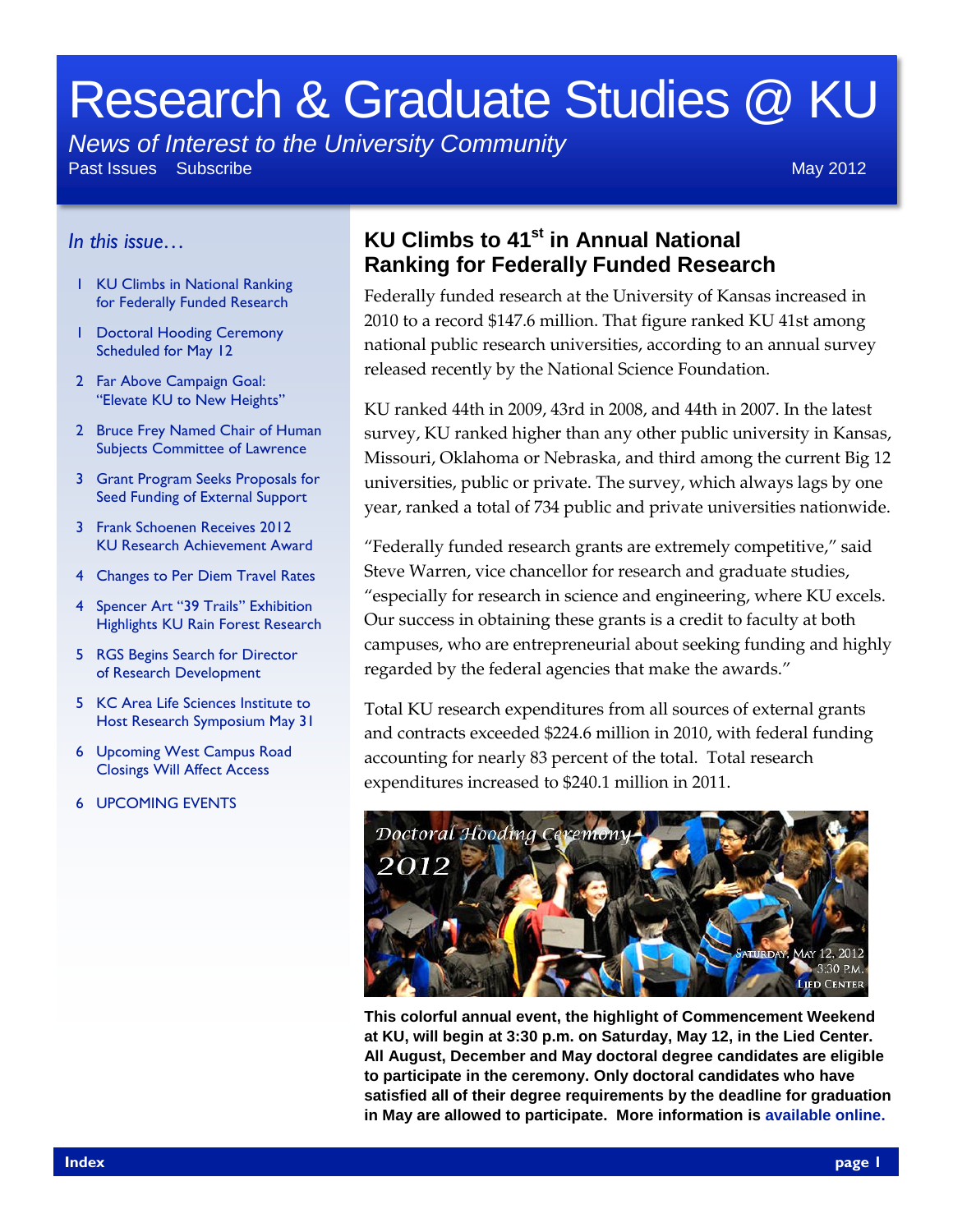# Research & Graduate Studies @ KU

*News of Interest to the University Community*

Past Issues Subscribe May 2012 **May 2012** 

## *In this issue…*

- 1 KU Climbs in National Ranking for Federally Funded Research
- 1 Doctoral Hooding Ceremony Scheduled for May 12
- 2 Far Above Campaign Goal: "Elevate KU to New Heights"
- 2 Bruce Frey Named Chair of Human Subjects Committee of Lawrence
- 3 Grant Program Seeks Proposals for Seed Funding of External Support
- 3 Frank Schoenen Receives 2012 KU Research Achievement Award
- 4 Changes to Per Diem Travel Rates
- 4 Spencer Art "39 Trails" Exhibition Highlights KU Rain Forest Research
- 5 RGS Begins Search for Director of Research Development
- 5 KC Area Life Sciences Institute to Host Research Symposium May 31
- 6 Upcoming West Campus Road Closings Will Affect Access
- 6 UPCOMING EVENTS

## **KU Climbs to 41st in Annual National Ranking for Federally Funded Research**

Federally funded research at the University of Kansas increased in 2010 to a record \$147.6 million. That figure ranked KU 41st among national public research universities, according to an annual survey released recently by the National Science Foundation.

KU ranked 44th in 2009, 43rd in 2008, and 44th in 2007. In the latest survey, KU ranked higher than any other public university in Kansas, Missouri, Oklahoma or Nebraska, and third among the current Big 12 universities, public or private. The survey, which always lags by one year, ranked a total of 734 public and private universities nationwide.

"Federally funded research grants are extremely competitive," said Steve Warren, vice chancellor for research and graduate studies, "especially for research in science and engineering, where KU excels. Our success in obtaining these grants is a credit to faculty at both campuses, who are entrepreneurial about seeking funding and highly regarded by the federal agencies that make the awards."

Total KU research expenditures from all sources of external grants and contracts exceeded \$224.6 million in 2010, with federal funding accounting for nearly 83 percent of the total. Total research expenditures increased to \$240.1 million in 2011.



**This colorful annual event, the highlight of Commencement Weekend at KU, will begin at 3:30 p.m. on Saturday, May 12, in the Lied Center. All August, December and May doctoral degree candidates are eligible to participate in the ceremony. Only doctoral candidates who have satisfied all of their degree requirements by the deadline for graduation in May are allowed to participate. More information is [available online.](http://www.graduate.ku.edu/doctor_hooding/doindex.shtml)**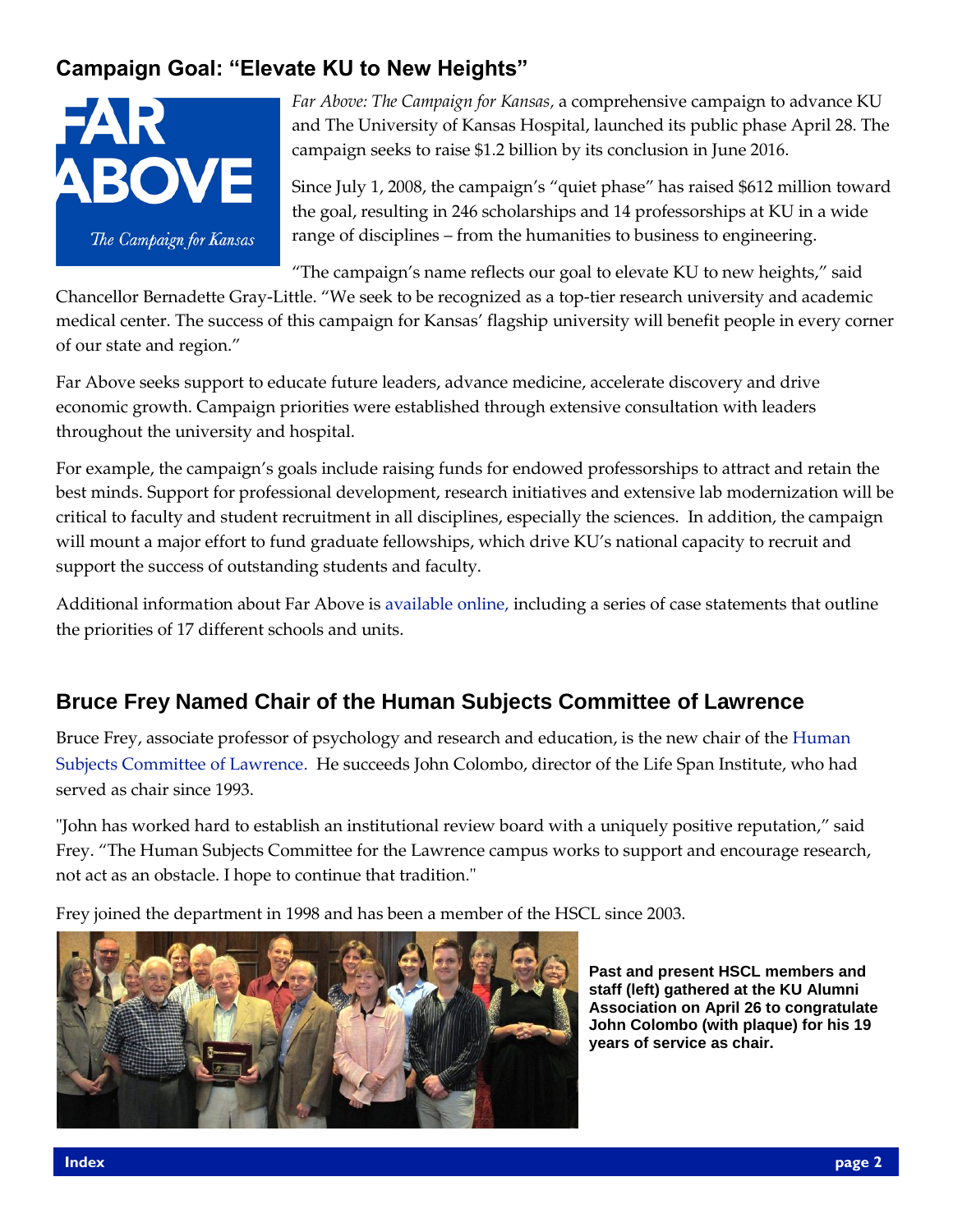# **Campaign Goal: "Elevate KU to New Heights"**



*Far Above: The Campaign for Kansas,* a comprehensive campaign to advance KU and The University of Kansas Hospital, launched its public phase April 28. The campaign seeks to raise \$1.2 billion by its conclusion in June 2016.

Since July 1, 2008, the campaign's "quiet phase" has raised \$612 million toward the goal, resulting in 246 scholarships and 14 professorships at KU in a wide range of disciplines – from the humanities to business to engineering.

"The campaign's name reflects our goal to elevate KU to new heights," said

Chancellor Bernadette Gray-Little. "We seek to be recognized as a top-tier research university and academic medical center. The success of this campaign for Kansas' flagship university will benefit people in every corner of our state and region."

Far Above seeks support to educate future leaders, advance medicine, accelerate discovery and drive economic growth. Campaign priorities were established through extensive consultation with leaders throughout the university and hospital.

For example, the campaign's goals include raising funds for endowed professorships to attract and retain the best minds. Support for professional development, research initiatives and extensive lab modernization will be critical to faculty and student recruitment in all disciplines, especially the sciences. In addition, the campaign will mount a major effort to fund graduate fellowships, which drive KU's national capacity to recruit and support the success of outstanding students and faculty.

Additional information about Far Above is [available online,](http://www.kuendowment.org/s/1312/endowment/index.aspx?sid=1312&gid=1&pgid=588) including a series of case statements that outline the priorities of 17 different schools and units.

# **Bruce Frey Named Chair of the Human Subjects Committee of Lawrence**

Bruce Frey, associate professor of psychology and research and education, is the new chair of the [Human](http://www.rcr.ku.edu/hscl/)  [Subjects Committee of Lawrence.](http://www.rcr.ku.edu/hscl/) He succeeds John Colombo, director of the Life Span Institute, who had served as chair since 1993.

"John has worked hard to establish an institutional review board with a uniquely positive reputation," said Frey. "The Human Subjects Committee for the Lawrence campus works to support and encourage research, not act as an obstacle. I hope to continue that tradition."

Frey joined the department in 1998 and has been a member of the HSCL since 2003.



**Past and present HSCL members and staff (left) gathered at the KU Alumni Association on April 26 to congratulate John Colombo (with plaque) for his 19 years of service as chair.**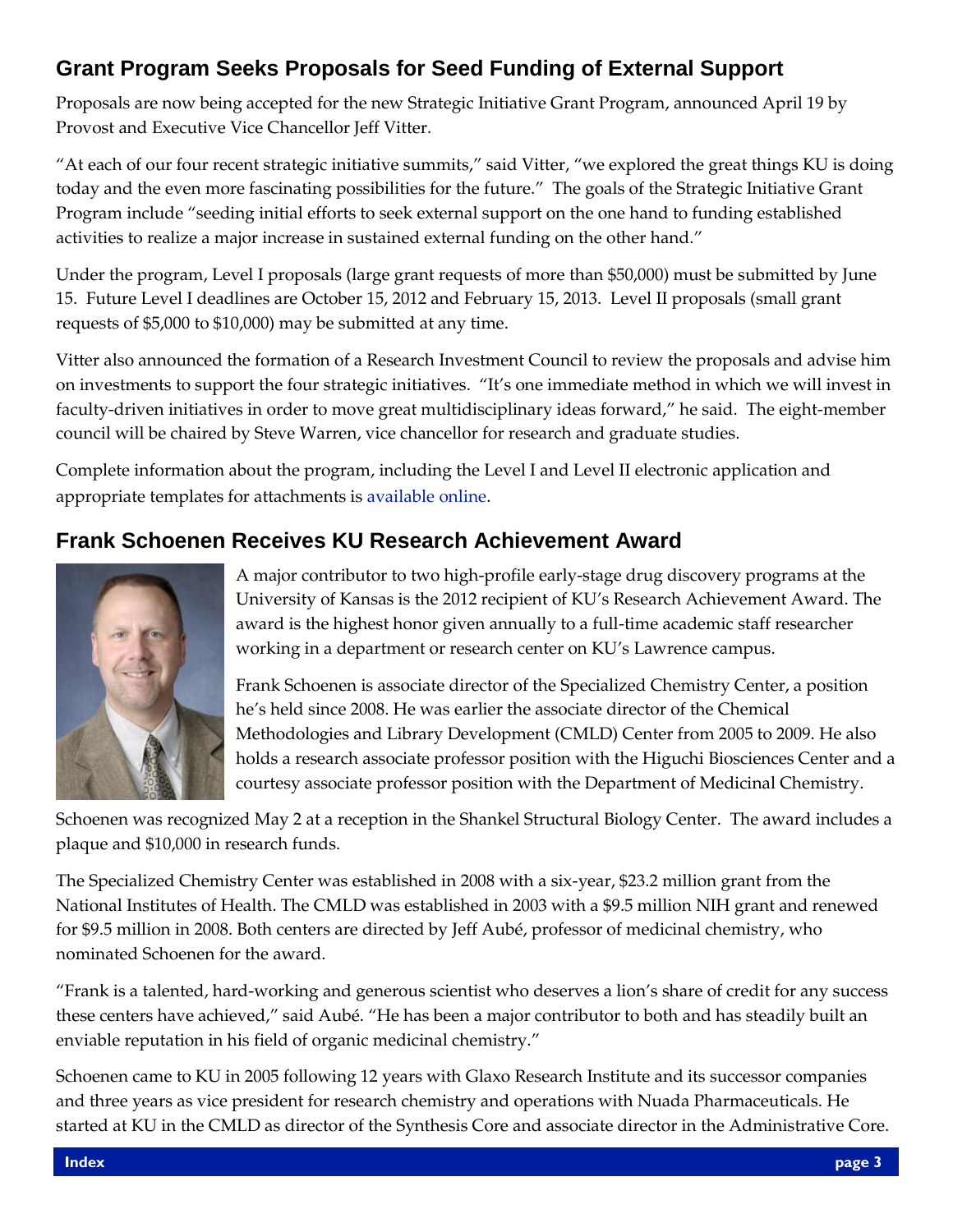# **Grant Program Seeks Proposals for Seed Funding of External Support**

Proposals are now being accepted for the new Strategic Initiative Grant Program, announced April 19 by Provost and Executive Vice Chancellor Jeff Vitter.

"At each of our four recent strategic initiative summits," said Vitter, "we explored the great things KU is doing today and the even more fascinating possibilities for the future." The goals of the Strategic Initiative Grant Program include "seeding initial efforts to seek external support on the one hand to funding established activities to realize a major increase in sustained external funding on the other hand."

Under the program, Level I proposals (large grant requests of more than \$50,000) must be submitted by June 15. Future Level I deadlines are October 15, 2012 and February 15, 2013. Level II proposals (small grant requests of \$5,000 to \$10,000) may be submitted at any time.

Vitter also announced the formation of a Research Investment Council to review the proposals and advise him on investments to support the four strategic initiatives. "It's one immediate method in which we will invest in faculty-driven initiatives in order to move great multidisciplinary ideas forward," he said. The eight-member council will be chaired by Steve Warren, vice chancellor for research and graduate studies.

Complete information about the program, including the Level I and Level II electronic application and appropriate templates for attachments is [available online](http://www.provost.ku.edu/planning/themes/ric-sigp.shtml).

# **Frank Schoenen Receives KU Research Achievement Award**



A major contributor to two high-profile early-stage drug discovery programs at the University of Kansas is the 2012 recipient of KU's Research Achievement Award. The award is the highest honor given annually to a full-time academic staff researcher working in a department or research center on KU's Lawrence campus.

Frank Schoenen is associate director of the Specialized Chemistry Center, a position he's held since 2008. He was earlier the associate director of the Chemical Methodologies and Library Development (CMLD) Center from 2005 to 2009. He also holds a research associate professor position with the Higuchi Biosciences Center and a courtesy associate professor position with the Department of Medicinal Chemistry.

Schoenen was recognized May 2 at a reception in the Shankel Structural Biology Center. The award includes a plaque and \$10,000 in research funds.

The Specialized Chemistry Center was established in 2008 with a six-year, \$23.2 million grant from the National Institutes of Health. The CMLD was established in 2003 with a \$9.5 million NIH grant and renewed for \$9.5 million in 2008. Both centers are directed by Jeff Aubé, professor of medicinal chemistry, who nominated Schoenen for the award.

"Frank is a talented, hard-working and generous scientist who deserves a lion's share of credit for any success these centers have achieved," said Aubé. "He has been a major contributor to both and has steadily built an enviable reputation in his field of organic medicinal chemistry."

Schoenen came to KU in 2005 following 12 years with Glaxo Research Institute and its successor companies and three years as vice president for research chemistry and operations with Nuada Pharmaceuticals. He started at KU in the CMLD as director of the Synthesis Core and associate director in the Administrative Core.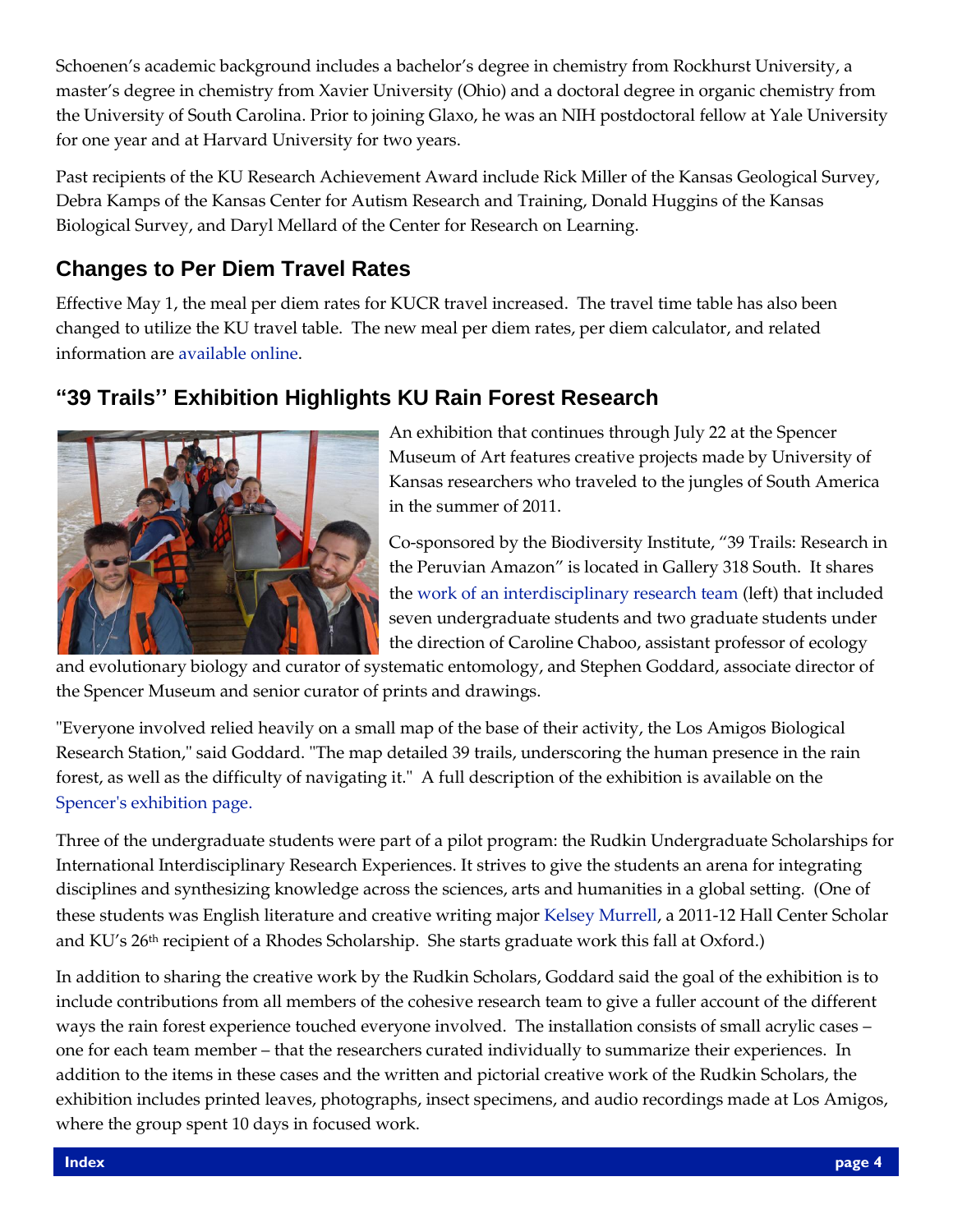Schoenen's academic background includes a bachelor's degree in chemistry from Rockhurst University, a master's degree in chemistry from Xavier University (Ohio) and a doctoral degree in organic chemistry from the University of South Carolina. Prior to joining Glaxo, he was an NIH postdoctoral fellow at Yale University for one year and at Harvard University for two years.

Past recipients of the KU Research Achievement Award include Rick Miller of the Kansas Geological Survey, Debra Kamps of the Kansas Center for Autism Research and Training, Donald Huggins of the Kansas Biological Survey, and Daryl Mellard of the Center for Research on Learning.

# **Changes to Per Diem Travel Rates**

Effective May 1, the meal per diem rates for KUCR travel increased. The travel time table has also been changed to utilize the KU travel table. The new meal per diem rates, per diem calculator, and related information are [available online](http://www.rgs.ku.edu/forms-policies/downloads/tr_rate_sched.shtml).

# **"39 Trails'' Exhibition Highlights KU Rain Forest Research**



An exhibition that continues through July 22 at the Spencer Museum of Art features creative projects made by University of Kansas researchers who traveled to the jungles of South America in the summer of 2011.

Co-sponsored by the Biodiversity Institute, "39 Trails: Research in the Peruvian Amazon" is located in Gallery 318 South. It shares the [work of an interdisciplinary research team](http://biodiversity.ku.edu/peru-2011) (left) that included seven undergraduate students and two graduate students under the direction of Caroline Chaboo, assistant professor of ecology

and evolutionary biology and curator of systematic entomology, and Stephen Goddard, associate director of the Spencer Museum and senior curator of prints and drawings.

"Everyone involved relied heavily on a small map of the base of their activity, the Los Amigos Biological Research Station," said Goddard. "The map detailed 39 trails, underscoring the human presence in the rain forest, as well as the difficulty of navigating it." A full description of the exhibition is available on the [Spencer's exhibition page.](http://www.spencerart.ku.edu/exhibitions/39-trails.shtml)

Three of the undergraduate students were part of a pilot program: the Rudkin Undergraduate Scholarships for International Interdisciplinary Research Experiences. It strives to give the students an arena for integrating disciplines and synthesizing knowledge across the sciences, arts and humanities in a global setting. (One of these students was English literature and creative writing major [Kelsey Murrell](http://www.news.ku.edu/2011/november/21/rhodes.shtml), a 2011-12 Hall Center Scholar and KU's 26<sup>th</sup> recipient of a Rhodes Scholarship. She starts graduate work this fall at Oxford.)

In addition to sharing the creative work by the Rudkin Scholars, Goddard said the goal of the exhibition is to include contributions from all members of the cohesive research team to give a fuller account of the different ways the rain forest experience touched everyone involved. The installation consists of small acrylic cases – one for each team member – that the researchers curated individually to summarize their experiences. In addition to the items in these cases and the written and pictorial creative work of the Rudkin Scholars, the exhibition includes printed leaves, photographs, insect specimens, and audio recordings made at Los Amigos, where the group spent 10 days in focused work.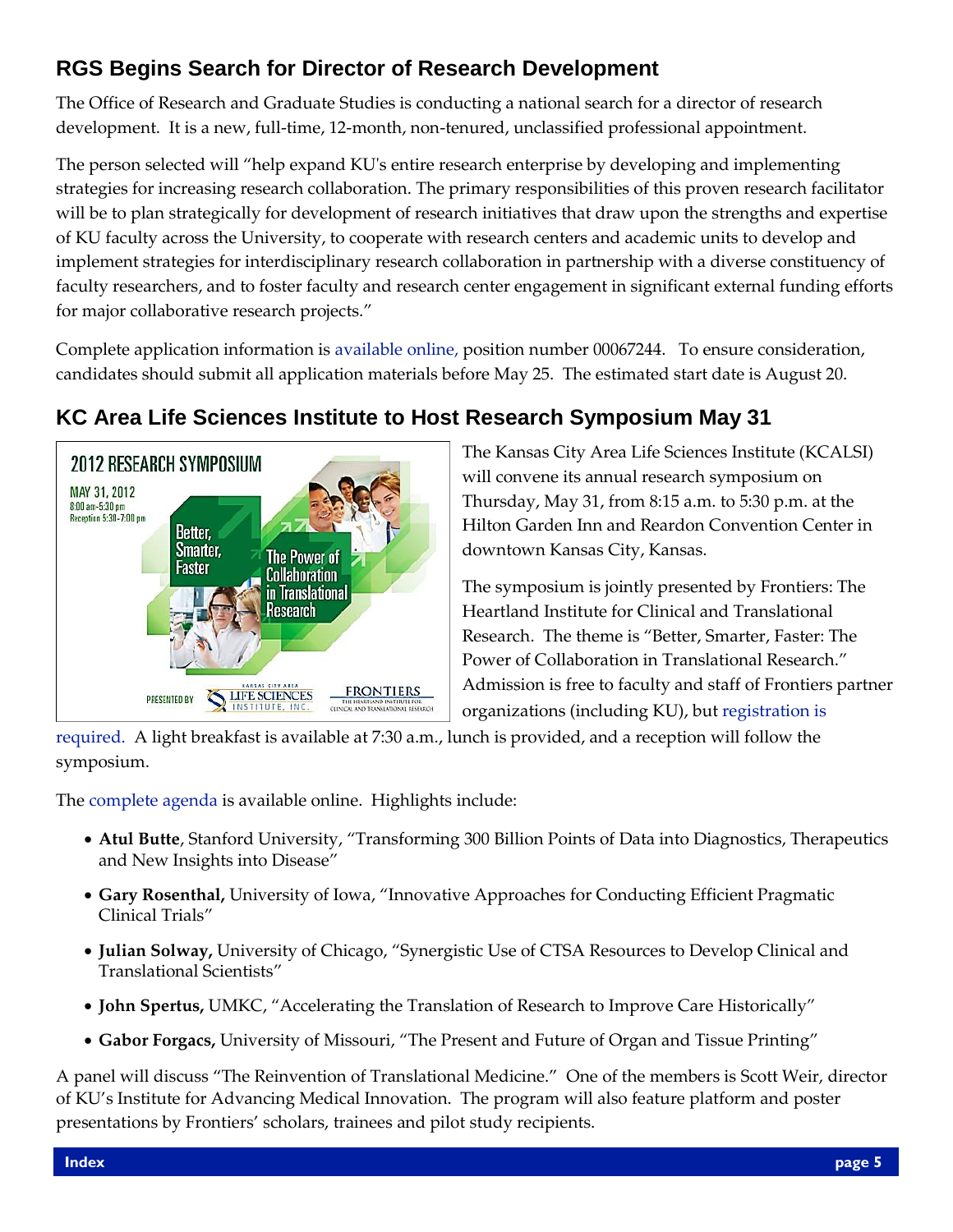# **RGS Begins Search for Director of Research Development**

The Office of Research and Graduate Studies is conducting a national search for a director of research development. It is a new, full-time, 12-month, non-tenured, unclassified professional appointment.

The person selected will "help expand KU's entire research enterprise by developing and implementing strategies for increasing research collaboration. The primary responsibilities of this proven research facilitator will be to plan strategically for development of research initiatives that draw upon the strengths and expertise of KU faculty across the University, to cooperate with research centers and academic units to develop and implement strategies for interdisciplinary research collaboration in partnership with a diverse constituency of faculty researchers, and to foster faculty and research center engagement in significant external funding efforts for major collaborative research projects."

Complete application information is [available online,](https://jobs.ku.edu/applicants/jsp/shared/Welcome_css.jsp) position number 00067244. To ensure consideration, candidates should submit all application materials before May 25. The estimated start date is August 20.



# **KC Area Life Sciences Institute to Host Research Symposium May 31**

The Kansas City Area Life Sciences Institute (KCALSI) will convene its annual research symposium on Thursday, May 31, from 8:15 a.m. to 5:30 p.m. at the Hilton Garden Inn and Reardon Convention Center in downtown Kansas City, Kansas.

The symposium is jointly presented by Frontiers: The Heartland Institute for Clinical and Translational Research. The theme is "Better, Smarter, Faster: The Power of Collaboration in Translational Research." Admission is free to faculty and staff of Frontiers partner organizations (including KU), but [registration is](http://www.kclifesciences.org/events/symposium/research-symposium-registration/) 

[required.](http://www.kclifesciences.org/events/symposium/research-symposium-registration/) A light breakfast is available at 7:30 a.m., lunch is provided, and a reception will follow the symposium.

The [complete agenda](http://www.kclifesciences.org/events/symposium/symposium-agenda/) is available online. Highlights include:

- **Atul Butte**, Stanford University, "Transforming 300 Billion Points of Data into Diagnostics, Therapeutics and New Insights into Disease"
- **Gary Rosenthal,** University of Iowa, "Innovative Approaches for Conducting Efficient Pragmatic Clinical Trials"
- **Julian Solway,** University of Chicago, "Synergistic Use of CTSA Resources to Develop Clinical and Translational Scientists"
- **John Spertus,** UMKC, "Accelerating the Translation of Research to Improve Care Historically"
- **Gabor Forgacs,** University of Missouri, "The Present and Future of Organ and Tissue Printing"

A panel will discuss "The Reinvention of Translational Medicine." One of the members is Scott Weir, director of KU's Institute for Advancing Medical Innovation. The program will also feature platform and poster presentations by Frontiers' scholars, trainees and pilot study recipients.